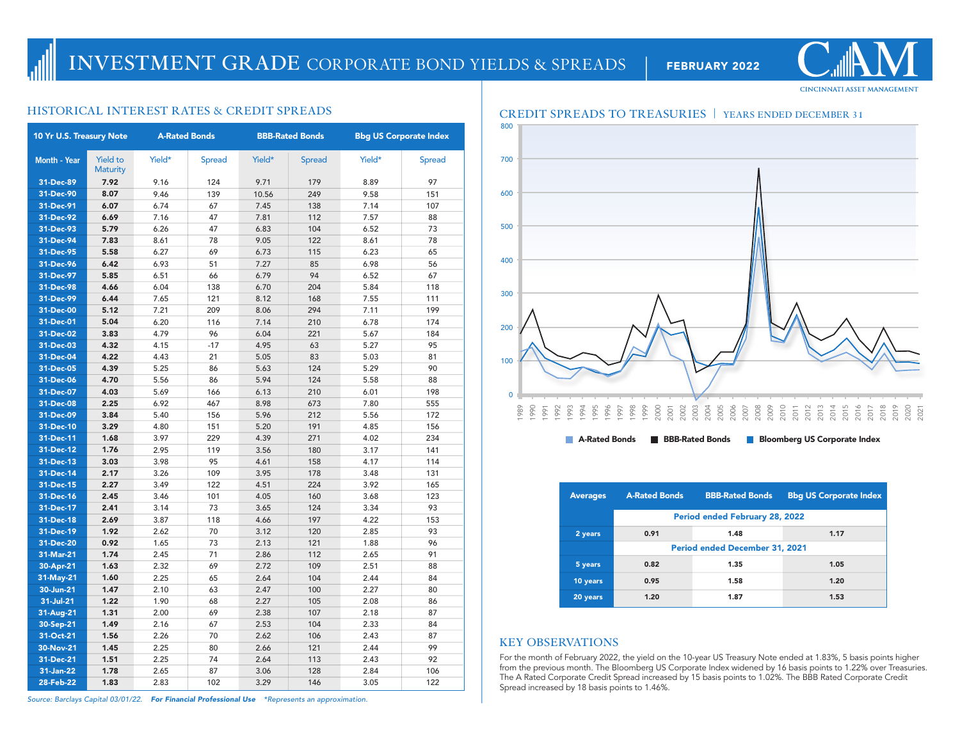| 10 Yr U.S. Treasury Note |                                    | <b>A-Rated Bonds</b> |               |        | <b>BBB-Rated Bonds</b> | <b>Bbg US Corporate Index</b> |               |  |
|--------------------------|------------------------------------|----------------------|---------------|--------|------------------------|-------------------------------|---------------|--|
| <b>Month - Year</b>      | <b>Yield to</b><br><b>Maturity</b> | Yield*               | <b>Spread</b> | Yield* | <b>Spread</b>          | Yield*                        | <b>Spread</b> |  |
| 31-Dec-89                | 7.92                               | 9.16                 | 124           | 9.71   | 179                    | 8.89                          | 97            |  |
| 31-Dec-90                | 8.07                               | 9.46                 | 139           | 10.56  | 249                    | 9.58                          | 151           |  |
| 31-Dec-91                | 6.07                               | 6.74                 | 67            | 7.45   | 138                    | 7.14                          | 107           |  |
| 31-Dec-92                | 6.69                               | 7.16                 | 47            | 7.81   | 112                    | 7.57                          | 88            |  |
| 31-Dec-93                | 5.79                               | 6.26                 | 47            | 6.83   | 104                    | 6.52                          | 73            |  |
| 31-Dec-94                | 7.83                               | 8.61                 | 78            | 9.05   | 122                    | 8.61                          | 78            |  |
| 31-Dec-95                | 5.58                               | 6.27                 | 69            | 6.73   | 115                    | 6.23                          | 65            |  |
| 31-Dec-96                | 6.42                               | 6.93                 | 51            | 7.27   | 85                     | 6.98                          | 56            |  |
| 31-Dec-97                | 5.85                               | 6.51                 | 66            | 6.79   | 94                     | 6.52                          | 67            |  |
| 31-Dec-98                | 4.66                               | 6.04                 | 138           | 6.70   | 204                    | 5.84                          | 118           |  |
| 31-Dec-99                | 6.44                               | 7.65                 | 121           | 8.12   | 168                    | 7.55                          | 111           |  |
| 31-Dec-00                | 5.12                               | 7.21                 | 209           | 8.06   | 294                    | 7.11                          | 199           |  |
| 31-Dec-01                | 5.04                               | 6.20                 | 116           | 7.14   | 210                    | 6.78                          | 174           |  |
| 31-Dec-02                | 3.83                               | 4.79                 | 96            | 6.04   | 221                    | 5.67                          | 184           |  |
| 31-Dec-03                | 4.32                               | 4.15                 | $-17$         | 4.95   | 63                     | 5.27                          | 95            |  |
| 31-Dec-04                | 4.22                               | 4.43                 | 21            | 5.05   | 83                     | 5.03                          | 81            |  |
| 31-Dec-05                | 4.39                               | 5.25                 | 86            | 5.63   | 124                    | 5.29                          | 90            |  |
| 31-Dec-06                | 4.70                               | 5.56                 | 86            | 5.94   | 124                    | 5.58                          | 88            |  |
| 31-Dec-07                | 4.03                               | 5.69                 | 166           | 6.13   | 210                    | 6.01                          | 198           |  |
| 31-Dec-08                | 2.25                               | 6.92                 | 467           | 8.98   | 673                    | 7.80                          | 555           |  |
| 31-Dec-09                | 3.84                               | 5.40                 | 156           | 5.96   | 212                    | 5.56                          | 172           |  |
| 31-Dec-10                | 3.29                               | 4.80                 | 151           | 5.20   | 191                    | 4.85                          | 156           |  |
| 31-Dec-11                | 1.68                               | 3.97                 | 229           | 4.39   | 271                    | 4.02                          | 234           |  |
| 31-Dec-12                | 1.76                               | 2.95                 | 119           | 3.56   | 180                    | 3.17                          | 141           |  |
| 31-Dec-13                | 3.03                               | 3.98                 | 95            | 4.61   | 158                    | 4.17                          | 114           |  |
| 31-Dec-14                | 2.17                               | 3.26                 | 109           | 3.95   | 178                    | 3.48                          | 131           |  |
| 31-Dec-15                | 2.27                               | 3.49                 | 122           | 4.51   | 224                    | 3.92                          | 165           |  |
| 31-Dec-16                | 2.45                               | 3.46                 | 101           | 4.05   | 160                    | 3.68                          | 123           |  |
| 31-Dec-17                | 2.41                               | 3.14                 | 73            | 3.65   | 124                    | 3.34                          | 93            |  |
| 31-Dec-18                | 2.69                               | 3.87                 | 118           | 4.66   | 197                    | 4.22                          | 153           |  |
| 31-Dec-19                | 1.92                               | 2.62                 | 70            | 3.12   | 120                    | 2.85                          | 93            |  |
| 31-Dec-20                | 0.92                               | 1.65                 | 73            | 2.13   | 121                    | 1.88                          | 96            |  |
| 31-Mar-21                | 1.74                               | 2.45                 | 71            | 2.86   | 112                    | 2.65                          | 91            |  |
| 30-Apr-21                | 1.63                               | 2.32                 | 69            | 2.72   | 109                    | 2.51                          | 88            |  |
| 31-May-21                | 1.60                               | 2.25                 | 65            | 2.64   | 104                    | 2.44                          | 84            |  |
| 30-Jun-21                | 1.47                               | 2.10                 | 63            | 2.47   | 100                    | 2.27                          | 80            |  |
| 31-Jul-21                | 1.22                               | 1.90                 | 68            | 2.27   | 105                    | 2.08                          | 86            |  |
| 31-Aug-21                | 1.31                               | 2.00                 | 69            | 2.38   | 107                    | 2.18                          | 87            |  |
| 30-Sep-21                | 1.49                               | 2.16                 | 67            | 2.53   | 104                    | 2.33                          | 84            |  |
| 31-Oct-21                | 1.56                               | 2.26                 | 70            | 2.62   | 106                    | 2.43                          | 87            |  |
| 30-Nov-21                | 1.45                               | 2.25                 | 80            | 2.66   | 121                    | 2.44                          | 99            |  |
| 31-Dec-21                | 1.51                               | 2.25                 | 74            | 2.64   | 113                    | 2.43                          | 92            |  |
| 31-Jan-22                | 1.78                               | 2.65                 | 87            | 3.06   | 128                    | 2.84                          | 106           |  |
| 28-Feb-22                | 1.83                               | 2.83                 | 102           | 3.29   | 146                    | 3.05                          | 122           |  |



| <b>Averages</b> | <b>A-Rated Bonds</b>                  | <b>BBB-Rated Bonds</b> | <b>Bbg US Corporate Index</b> |  |  |  |  |  |  |
|-----------------|---------------------------------------|------------------------|-------------------------------|--|--|--|--|--|--|
|                 | Period ended February 28, 2022        |                        |                               |  |  |  |  |  |  |
| 2 years         | 0.91                                  | 1.48                   | 1.17                          |  |  |  |  |  |  |
|                 | <b>Period ended December 31, 2021</b> |                        |                               |  |  |  |  |  |  |
| 5 years         | 0.82                                  | 1.35                   | 1.05                          |  |  |  |  |  |  |
| 10 years        | 0.95                                  | 1.58                   | 1.20                          |  |  |  |  |  |  |
| 20 years        | 1.20                                  | 1.87                   | 1.53                          |  |  |  |  |  |  |

## **KEY OBSERVATIONS**

For the month of February 2022, the yield on the 10-year US Treasury Note ended at 1.83%, 5 basis points higher from the previous month. The Bloomberg US Corporate Index widened by 16 basis points to 1.22% over Treasuries. The A Rated Corporate Credit Spread increased by 15 basis points to 1.02%. The BBB Rated Corporate Credit Spread increased by 18 basis points to 1.46%.